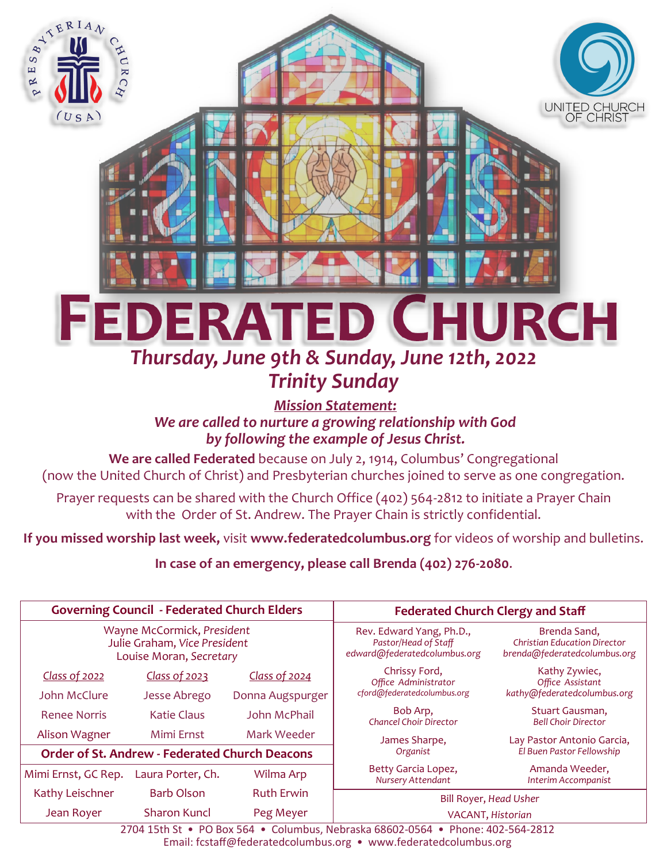

# *Trinity Sunday*

*Mission Statement: We are called to nurture a growing relationship with God by following the example of Jesus Christ.*

**We are called Federated** because on July 2, 1914, Columbus' Congregational (now the United Church of Christ) and Presbyterian churches joined to serve as one congregation.

Prayer requests can be shared with the Church Office (402) 564-2812 to initiate a Prayer Chain with the Order of St. Andrew. The Prayer Chain is strictly confidential.

**If you missed worship last week,** visit **www.federatedcolumbus.org** for videos of worship and bulletins.

**In case of an emergency, please call Brenda (402) 276-2080**.

| <b>Governing Council - Federated Church Elders</b>                                    |                    |                   | <b>Federated Church Clergy and Staff</b>                                         |                                                                                     |
|---------------------------------------------------------------------------------------|--------------------|-------------------|----------------------------------------------------------------------------------|-------------------------------------------------------------------------------------|
| Wayne McCormick, President<br>Julie Graham, Vice President<br>Louise Moran, Secretary |                    |                   | Rev. Edward Yang, Ph.D.,<br>Pastor/Head of Staff<br>edward@federatedcolumbus.org | Brenda Sand,<br><b>Christian Education Director</b><br>brenda@federatedcolumbus.org |
| Class of 2022                                                                         | Class of 2023      | Class of 2024     | Chrissy Ford,<br>Office Administrator                                            | Kathy Zywiec,<br>Office Assistant                                                   |
| John McClure                                                                          | Jesse Abrego       | Donna Augspurger  | cford@federatedcolumbus.org                                                      | kathy@federatedcolumbus.org                                                         |
| Renee Norris                                                                          | <b>Katie Claus</b> | John McPhail      | Bob Arp,<br>Chancel Choir Director                                               | Stuart Gausman,<br><b>Bell Choir Director</b>                                       |
| Alison Wagner                                                                         | Mimi Ernst         | Mark Weeder       | James Sharpe,                                                                    | Lay Pastor Antonio Garcia,                                                          |
| <b>Order of St. Andrew - Federated Church Deacons</b>                                 |                    |                   | Organist                                                                         | El Buen Pastor Fellowship                                                           |
| Mimi Ernst, GC Rep.                                                                   | Laura Porter, Ch.  | Wilma Arp         | Betty Garcia Lopez,<br>Nursery Attendant                                         | Amanda Weeder,<br>Interim Accompanist                                               |
| Kathy Leischner                                                                       | Barb Olson         | <b>Ruth Erwin</b> | Bill Royer, Head Usher                                                           |                                                                                     |
| Jean Royer                                                                            | Sharon Kuncl       | Peg Meyer         | VACANT, Historian                                                                |                                                                                     |

2704 15th St • PO Box 564 • Columbus, Nebraska 68602-0564 • Phone: 402-564-2812 Email: fcstaff@federatedcolumbus.org • www.federatedcolumbus.org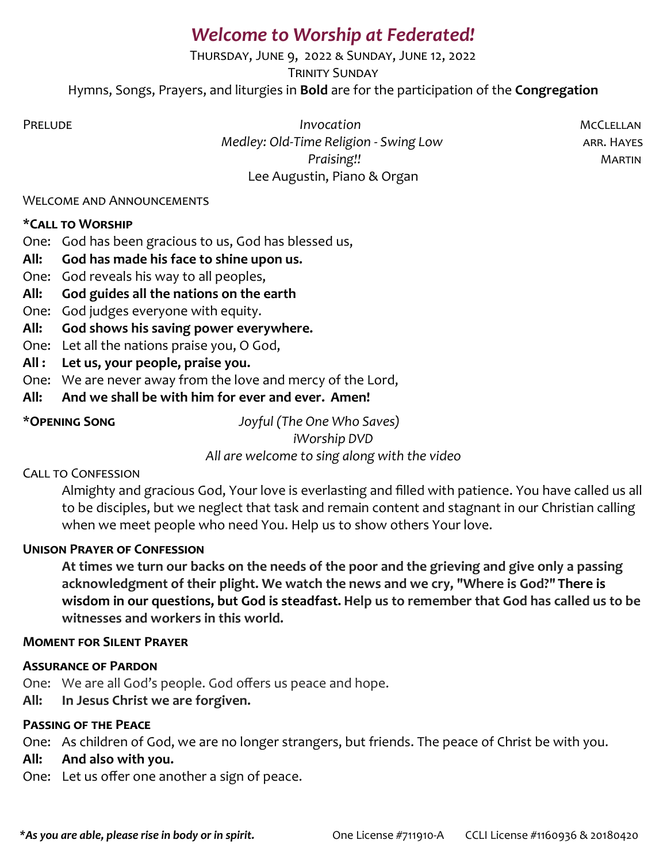# *Welcome to Worship at Federated!*

Thursday, June 9, 2022 & Sunday, June 12, 2022

**TRINITY SUNDAY** 

Hymns, Songs, Prayers, and liturgies in **Bold** are for the participation of the **Congregation**

PRELUDE **Invocation** *Invocation* **Invocation Invocation MCCLELLAN**  *Medley: Old-Time Religion - Swing Low* arr. Hayes *Praising!!* Martin Lee Augustin, Piano & Organ

#### Welcome and Announcements

# **\*Call to Worship**

One: God has been gracious to us, God has blessed us,

- **All: God has made his face to shine upon us.**
- One: God reveals his way to all peoples,
- **All: God guides all the nations on the earth**
- One: God judges everyone with equity.
- **All: God shows his saving power everywhere.**
- One: Let all the nations praise you, O God,
- **All : Let us, your people, praise you.**
- One: We are never away from the love and mercy of the Lord,
- **All: And we shall be with him for ever and ever. Amen!**

\***Opening Song** *Joyful (The One Who Saves)*

*iWorship DVD*

*All are welcome to sing along with the video* 

#### Call to Confession

Almighty and gracious God, Your love is everlasting and filled with patience. You have called us all to be disciples, but we neglect that task and remain content and stagnant in our Christian calling when we meet people who need You. Help us to show others Your love.

# **Unison Prayer of Confession**

**At times we turn our backs on the needs of the poor and the grieving and give only a passing acknowledgment of their plight. We watch the news and we cry, "Where is God?" There is wisdom in our questions, but God is steadfast. Help us to remember that God has called us to be witnesses and workers in this world.** 

#### **Moment for Silent Prayer**

#### **Assurance of Pardon**

One: We are all God's people. God offers us peace and hope.

**All: In Jesus Christ we are forgiven.** 

#### **Passing of the Peace**

One: As children of God, we are no longer strangers, but friends. The peace of Christ be with you.

#### **All: And also with you.**

One: Let us offer one another a sign of peace.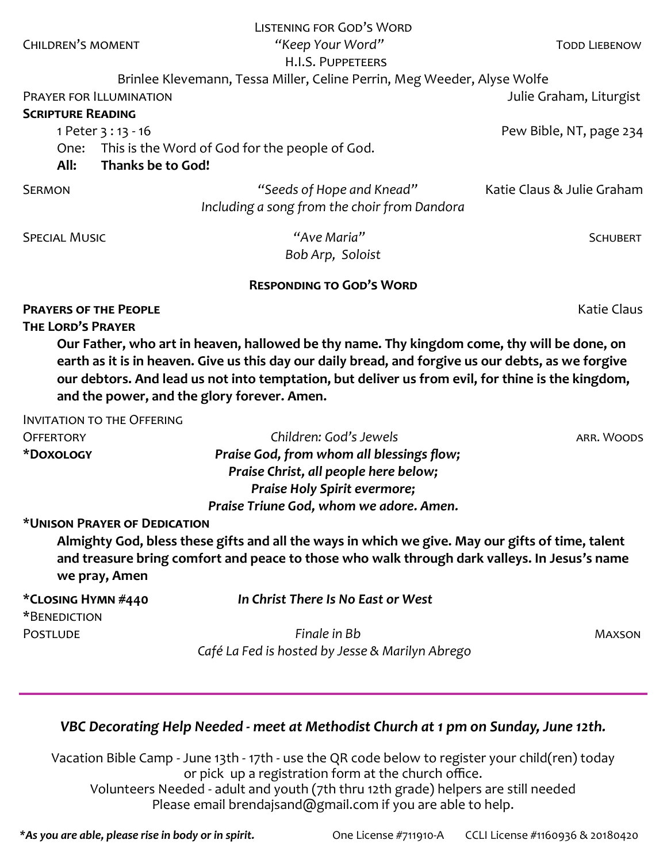|                                   | <b>LISTENING FOR GOD'S WORD</b>                                                                     |                            |
|-----------------------------------|-----------------------------------------------------------------------------------------------------|----------------------------|
| <b>CHILDREN'S MOMENT</b>          | "Keep Your Word"                                                                                    | <b>TODD LIEBENOW</b>       |
|                                   | H.I.S. PUPPETEERS                                                                                   |                            |
|                                   | Brinlee Klevemann, Tessa Miller, Celine Perrin, Meg Weeder, Alyse Wolfe                             |                            |
| <b>PRAYER FOR ILLUMINATION</b>    |                                                                                                     | Julie Graham, Liturgist    |
| <b>SCRIPTURE READING</b>          |                                                                                                     |                            |
| 1 Peter 3 : 13 - 16               |                                                                                                     | Pew Bible, NT, page 234    |
| One:                              | This is the Word of God for the people of God.                                                      |                            |
| All:                              | Thanks be to God!                                                                                   |                            |
| <b>SERMON</b>                     | "Seeds of Hope and Knead"                                                                           | Katie Claus & Julie Graham |
|                                   | Including a song from the choir from Dandora                                                        |                            |
| <b>SPECIAL MUSIC</b>              | "Ave Maria"                                                                                         | <b>SCHUBERT</b>            |
|                                   | Bob Arp, Soloist                                                                                    |                            |
|                                   | <b>RESPONDING TO GOD'S WORD</b>                                                                     |                            |
| <b>PRAYERS OF THE PEOPLE</b>      |                                                                                                     | <b>Katie Claus</b>         |
|                                   |                                                                                                     |                            |
| <b>THE LORD'S PRAYER</b>          |                                                                                                     |                            |
|                                   | Our Father, who art in heaven, hallowed be thy name. Thy kingdom come, thy will be done, on         |                            |
|                                   | earth as it is in heaven. Give us this day our daily bread, and forgive us our debts, as we forgive |                            |
|                                   | our debtors. And lead us not into temptation, but deliver us from evil, for thine is the kingdom,   |                            |
|                                   | and the power, and the glory forever. Amen.                                                         |                            |
| <b>INVITATION TO THE OFFERING</b> |                                                                                                     |                            |
| <b>OFFERTORY</b>                  | Children: God's Jewels                                                                              | ARR. WOODS                 |
| *DOXOLOGY                         | Praise God, from whom all blessings flow;                                                           |                            |
|                                   | Praise Christ, all people here below;                                                               |                            |
|                                   | Praise Holy Spirit evermore;                                                                        |                            |
|                                   | Praise Triune God, whom we adore. Amen.                                                             |                            |
| *UNISON PRAYER OF DEDICATION      |                                                                                                     |                            |
|                                   | Almighty God, bless these gifts and all the ways in which we give. May our gifts of time, talent    |                            |
|                                   | and treasure bring comfort and peace to those who walk through dark valleys. In Jesus's name        |                            |
| we pray, Amen                     |                                                                                                     |                            |
| *CLOSING HYMN #440                | In Christ There Is No East or West                                                                  |                            |
| *BENEDICTION                      |                                                                                                     |                            |
| <b>POSTLUDE</b>                   | Finale in Bb                                                                                        | <b>MAXSON</b>              |
|                                   | Café La Fed is hosted by Jesse & Marilyn Abrego                                                     |                            |

# *VBC Decorating Help Needed - meet at Methodist Church at 1 pm on Sunday, June 12th.*

Vacation Bible Camp - June 13th - 17th - use the QR code below to register your child(ren) today or pick up a registration form at the church office. Volunteers Needed - adult and youth (7th thru 12th grade) helpers are still needed

Please email brendajsand@gmail.com if you are able to help.